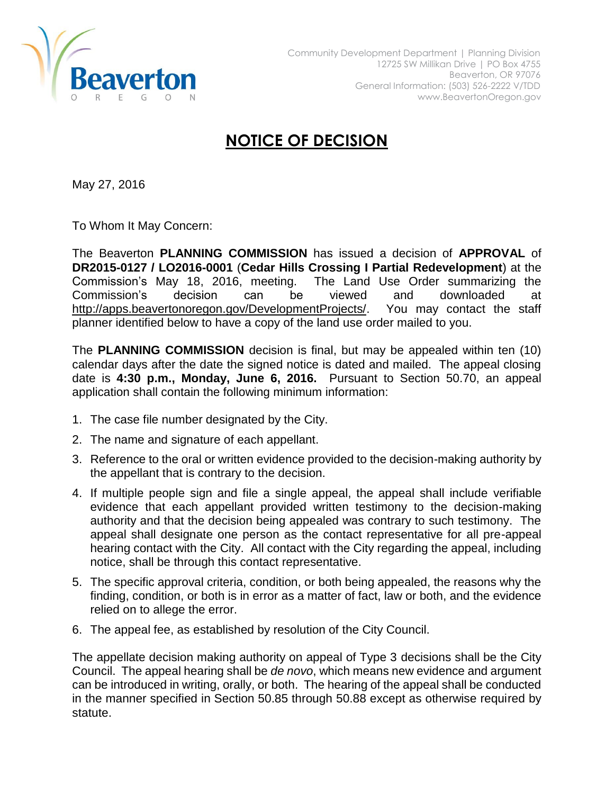

## **NOTICE OF DECISION**

May 27, 2016

To Whom It May Concern:

The Beaverton **PLANNING COMMISSION** has issued a decision of **APPROVAL** of **DR2015-0127 / LO2016-0001** (**Cedar Hills Crossing I Partial Redevelopment**) at the Commission's May 18, 2016, meeting. The Land Use Order summarizing the Commission's decision can be viewed and downloaded at [http://apps.beavertonoregon.gov/DevelopmentProjects/.](http://apps.beavertonoregon.gov/DevelopmentProjects/) You may contact the staff planner identified below to have a copy of the land use order mailed to you.

The **PLANNING COMMISSION** decision is final, but may be appealed within ten (10) calendar days after the date the signed notice is dated and mailed. The appeal closing date is **4:30 p.m., Monday, June 6, 2016.** Pursuant to Section 50.70, an appeal application shall contain the following minimum information:

- 1. The case file number designated by the City.
- 2. The name and signature of each appellant.
- 3. Reference to the oral or written evidence provided to the decision-making authority by the appellant that is contrary to the decision.
- 4. If multiple people sign and file a single appeal, the appeal shall include verifiable evidence that each appellant provided written testimony to the decision-making authority and that the decision being appealed was contrary to such testimony. The appeal shall designate one person as the contact representative for all pre-appeal hearing contact with the City. All contact with the City regarding the appeal, including notice, shall be through this contact representative.
- 5. The specific approval criteria, condition, or both being appealed, the reasons why the finding, condition, or both is in error as a matter of fact, law or both, and the evidence relied on to allege the error.
- 6. The appeal fee, as established by resolution of the City Council.

The appellate decision making authority on appeal of Type 3 decisions shall be the City Council. The appeal hearing shall be *de novo*, which means new evidence and argument can be introduced in writing, orally, or both. The hearing of the appeal shall be conducted in the manner specified in Section 50.85 through 50.88 except as otherwise required by statute.